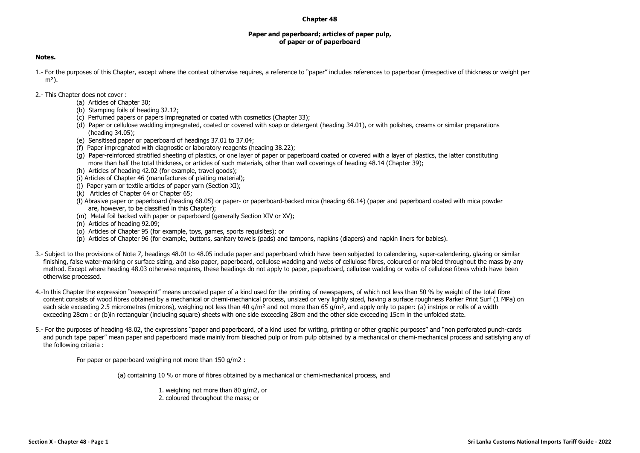## **Chapter 48**

## **Paper and paperboard; articles of paper pulp, of paper or of paperboard**

## **Notes.**

- 1.- For the purposes of this Chapter, except where the context otherwise requires, a reference to "paper" includes references to paperboar (irrespective of thickness or weight per  $m<sup>2</sup>$ ).
- 2.- This Chapter does not cover :
	- (a) Articles of Chapter 30;
	- (b) Stamping foils of heading 32.12;
	- (c) Perfumed papers or papers impregnated or coated with cosmetics (Chapter 33);
	- (d) Paper or cellulose wadding impregnated, coated or covered with soap or detergent (heading 34.01), or with polishes, creams or similar preparations (heading 34.05);
	- (e) Sensitised paper or paperboard of headings 37.01 to 37.04;
	- (f) Paper impregnated with diagnostic or laboratory reagents (heading 38.22);
	- (g) Paper-reinforced stratified sheeting of plastics, or one layer of paper or paperboard coated or covered with a layer of plastics, the latter constituting more than half the total thickness, or articles of such materials, other than wall coverings of heading 48.14 (Chapter 39);
	- (h) Articles of heading 42.02 (for example, travel goods);
	- (i) Articles of Chapter 46 (manufactures of plaiting material);
	- (j) Paper yarn or textile articles of paper yarn (Section XI);
	- (k) Articles of Chapter 64 or Chapter 65;
	- (l) Abrasive paper or paperboard (heading 68.05) or paper- or paperboard-backed mica (heading 68.14) (paper and paperboard coated with mica powder are, however, to be classified in this Chapter);
	- (m) Metal foil backed with paper or paperboard (generally Section XIV or XV);
	- (n) Articles of heading 92.09;
	- (o) Articles of Chapter 95 (for example, toys, games, sports requisites); or
	- (p) Articles of Chapter 96 (for example, buttons, sanitary towels (pads) and tampons, napkins (diapers) and napkin liners for babies).
- 3.- Subject to the provisions of Note 7, headings 48.01 to 48.05 include paper and paperboard which have been subjected to calendering, super-calendering, glazing or similar finishing, false water-marking or surface sizing, and also paper, paperboard, cellulose wadding and webs of cellulose fibres, coloured or marbled throughout the mass by any method. Except where heading 48.03 otherwise requires, these headings do not apply to paper, paperboard, cellulose wadding or webs of cellulose fibres which have been otherwise processed.
- 4.-In this Chapter the expression "newsprint" means uncoated paper of a kind used for the printing of newspapers, of which not less than 50 % by weight of the total fibre content consists of wood fibres obtained by a mechanical or chemi-mechanical process, unsized or very lightly sized, having a surface roughness Parker Print Surf (1 MPa) on each side exceeding 2.5 micrometres (microns), weighing not less than 40  $q/m^2$  and not more than 65  $q/m^2$ , and apply only to paper: (a) instrips or rolls of a width exceeding 28cm : or (b)in rectangular (including square) sheets with one side exceeding 28cm and the other side exceeding 15cm in the unfolded state.
- 5.- For the purposes of heading 48.02, the expressions "paper and paperboard, of a kind used for writing, printing or other graphic purposes" and "non perforated punch-cards and punch tape paper" mean paper and paperboard made mainly from bleached pulp or from pulp obtained by a mechanical or chemi-mechanical process and satisfying any of the following criteria :

For paper or paperboard weighing not more than 150 g/m2 :

(a) containing 10 % or more of fibres obtained by a mechanical or chemi-mechanical process, and

1. weighing not more than 80 g/m2, or 2. coloured throughout the mass; or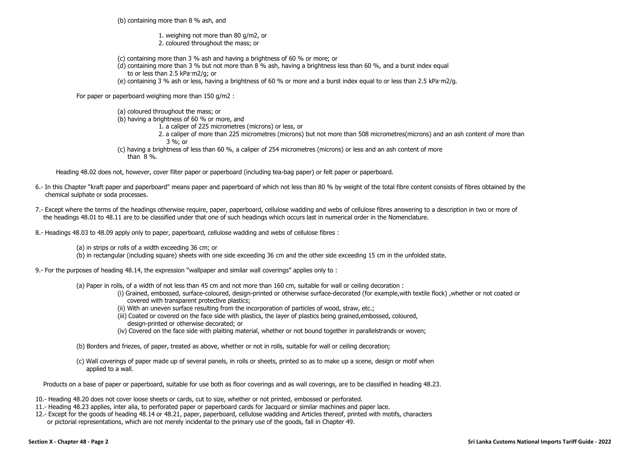(b) containing more than 8 % ash, and

1. weighing not more than 80 g/m2, or 2. coloured throughout the mass; or

(c) containing more than 3 % ash and having a brightness of 60 % or more; or

(d) containing more than 3 % but not more than 8 % ash, having a brightness less than 60 %, and a burst index equal to or less than 2.5 kPa·m2/g; or

(e) containing 3 % ash or less, having a brightness of 60 % or more and a burst index equal to or less than 2.5 kPa·m2/g.

For paper or paperboard weighing more than 150 g/m2 :

(a) coloured throughout the mass; or (b) having a brightness of 60 % or more, and 1. a caliper of 225 micrometres (microns) or less, or 2. a caliper of more than 225 micrometres (microns) but not more than 508 micrometres(microns) and an ash content of more than 3 %; or (c) having a brightness of less than 60 %, a caliper of 254 micrometres (microns) or less and an ash content of more

than 8 %.

Heading 48.02 does not, however, cover filter paper or paperboard (including tea-bag paper) or felt paper or paperboard.

- 6.- In this Chapter "kraft paper and paperboard" means paper and paperboard of which not less than 80 % by weight of the total fibre content consists of fibres obtained by the chemical sulphate or soda processes.
- 7.- Except where the terms of the headings otherwise require, paper, paperboard, cellulose wadding and webs of cellulose fibres answering to a description in two or more of the headings 48.01 to 48.11 are to be classified under that one of such headings which occurs last in numerical order in the Nomenclature.
- 8.- Headings 48.03 to 48.09 apply only to paper, paperboard, cellulose wadding and webs of cellulose fibres :

(a) in strips or rolls of a width exceeding 36 cm; or

(b) in rectangular (including square) sheets with one side exceeding 36 cm and the other side exceeding 15 cm in the unfolded state.

9.- For the purposes of heading 48.14, the expression "wallpaper and similar wall coverings" applies only to :

- (a) Paper in rolls, of a width of not less than 45 cm and not more than 160 cm, suitable for wall or ceiling decoration :
	- (i) Grained, embossed, surface-coloured, design-printed or otherwise surface-decorated (for example,with textile flock) ,whether or not coated or covered with transparent protective plastics;
	- (ii) With an uneven surface resulting from the incorporation of particles of wood, straw, etc.;
	- (iii) Coated or covered on the face side with plastics, the layer of plastics being grained,embossed, coloured, design-printed or otherwise decorated; or
	- (iv) Covered on the face side with plaiting material, whether or not bound together in parallelstrands or woven;

(b) Borders and friezes, of paper, treated as above, whether or not in rolls, suitable for wall or ceiling decoration;

(c) Wall coverings of paper made up of several panels, in rolls or sheets, printed so as to make up a scene, design or motif when applied to a wall.

Products on a base of paper or paperboard, suitable for use both as floor coverings and as wall coverings, are to be classified in heading 48.23.

10.- Heading 48.20 does not cover loose sheets or cards, cut to size, whether or not printed, embossed or perforated.

- 11.- Heading 48.23 applies, inter alia, to perforated paper or paperboard cards for Jacquard or similar machines and paper lace.
- 12.- Except for the goods of heading 48.14 or 48.21, paper, paperboard, cellulose wadding and Articles thereof, printed with motifs, characters or pictorial representations, which are not merely incidental to the primary use of the goods, fall in Chapter 49.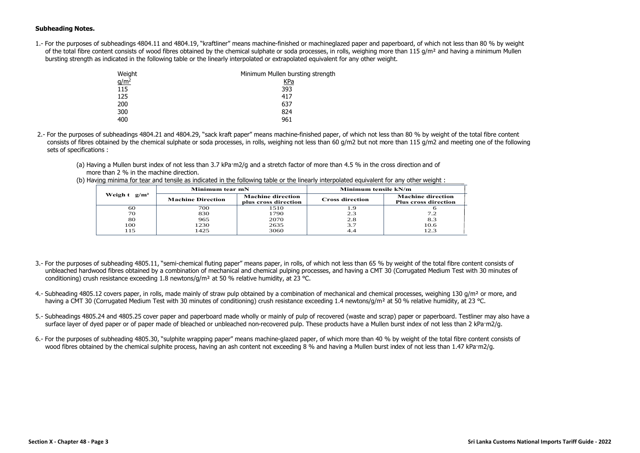## **Subheading Notes.**

1.- For the purposes of subheadings 4804.11 and 4804.19, "kraftliner" means machine-finished or machineglazed paper and paperboard, of which not less than 80 % by weight of the total fibre content consists of wood fibres obtained by the chemical sulphate or soda processes, in rolls, weighing more than 115 g/m<sup>2</sup> and having a minimum Mullen bursting strength as indicated in the following table or the linearly interpolated or extrapolated equivalent for any other weight.

| Weight           | Minimum Mullen bursting strength |
|------------------|----------------------------------|
| q/m <sup>2</sup> | KPa                              |
| 115              | 393                              |
| 125              | 417                              |
| 200              | 637                              |
| 300              | 824                              |
| 400              | 961                              |

- 2.- For the purposes of subheadings 4804.21 and 4804.29, "sack kraft paper" means machine-finished paper, of which not less than 80 % by weight of the total fibre content consists of fibres obtained by the chemical sulphate or soda processes, in rolls, weighing not less than 60 g/m2 but not more than 115 g/m2 and meeting one of the following sets of specifications :
	- (a) Having a Mullen burst index of not less than 3.7 kPa·m2/g and a stretch factor of more than 4.5 % in the cross direction and of more than 2 % in the machine direction.

|                            | Minimum tear mN          |                                                  | Minimum tensile kN/m   |                                                         |
|----------------------------|--------------------------|--------------------------------------------------|------------------------|---------------------------------------------------------|
| Weigh $t$ g/m <sup>2</sup> | <b>Machine Direction</b> | <b>Machine direction</b><br>plus cross direction | <b>Cross direction</b> | <b>Machine direction</b><br><b>Plus cross direction</b> |
| 60                         | 700                      | 1510                                             |                        |                                                         |
| 70                         | 830                      | 1790                                             | 2.3                    | 7.2                                                     |
| 80                         | 965                      | 2070                                             | 2.8                    | 8.3                                                     |
| 100                        | 1230                     | 2635                                             | 3.7                    | 10.6                                                    |
| 115                        | 1425                     | 3060                                             |                        |                                                         |

(b) Having minima for tear and tensile as indicated in the following table or the linearly interpolated equivalent for any other weight :

- 3.- For the purposes of subheading 4805.11, "semi-chemical fluting paper" means paper, in rolls, of which not less than 65 % by weight of the total fibre content consists of unbleached hardwood fibres obtained by a combination of mechanical and chemical pulping processes, and having a CMT 30 (Corrugated Medium Test with 30 minutes of conditioning) crush resistance exceeding 1.8 newtons/g/m² at 50 % relative humidity, at 23 °C.
- 4.- Subheading 4805.12 covers paper, in rolls, made mainly of straw pulp obtained by a combination of mechanical and chemical processes, weighing 130  $q/m^2$  or more, and having a CMT 30 (Corrugated Medium Test with 30 minutes of conditioning) crush resistance exceeding 1.4 newtons/g/m<sup>2</sup> at 50 % relative humidity, at 23 °C.
- 5.- Subheadings 4805.24 and 4805.25 cover paper and paperboard made wholly or mainly of pulp of recovered (waste and scrap) paper or paperboard. Testliner may also have a surface layer of dyed paper or of paper made of bleached or unbleached non-recovered pulp. These products have a Mullen burst index of not less than 2 kPa·m2/g.
- 6.- For the purposes of subheading 4805.30, "sulphite wrapping paper" means machine-glazed paper, of which more than 40 % by weight of the total fibre content consists of wood fibres obtained by the chemical sulphite process, having an ash content not exceeding 8 % and having a Mullen burst index of not less than 1.47 kPa·m2/g.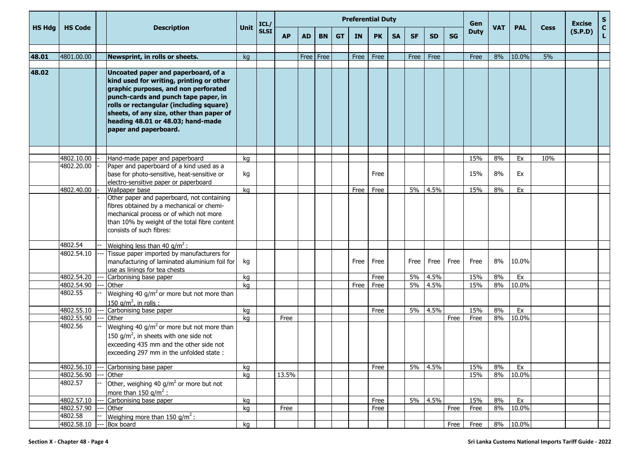|               |                       |                                                                                                                                                                                                                                                                                                                      |      | ICL/        |           |             |           |           |           | <b>Preferential Duty</b> |           |           |           |           | Gen         |            |            |             | <b>Excise</b> | S                  |
|---------------|-----------------------|----------------------------------------------------------------------------------------------------------------------------------------------------------------------------------------------------------------------------------------------------------------------------------------------------------------------|------|-------------|-----------|-------------|-----------|-----------|-----------|--------------------------|-----------|-----------|-----------|-----------|-------------|------------|------------|-------------|---------------|--------------------|
| <b>HS Hdg</b> | <b>HS Code</b>        | <b>Description</b>                                                                                                                                                                                                                                                                                                   | Unit | <b>SLSI</b> | <b>AP</b> | <b>AD</b>   | <b>BN</b> | <b>GT</b> | <b>IN</b> | <b>PK</b>                | <b>SA</b> | <b>SF</b> | <b>SD</b> | <b>SG</b> | <b>Duty</b> | <b>VAT</b> | <b>PAL</b> | <b>Cess</b> | (S.P.D)       | $\mathbf{C}$<br>L. |
|               |                       |                                                                                                                                                                                                                                                                                                                      |      |             |           |             |           |           |           |                          |           |           |           |           |             |            |            |             |               |                    |
| 48.01         | 4801.00.00            | Newsprint, in rolls or sheets.                                                                                                                                                                                                                                                                                       | kg   |             |           | Free   Free |           |           | Free      | Free                     |           | Free      | Free      |           | Free        | 8%         | 10.0%      | 5%          |               |                    |
| 48.02         |                       | Uncoated paper and paperboard, of a<br>kind used for writing, printing or other<br>graphic purposes, and non perforated<br>punch-cards and punch tape paper, in<br>rolls or rectangular (including square)<br>sheets, of any size, other than paper of<br>heading 48.01 or 48.03; hand-made<br>paper and paperboard. |      |             |           |             |           |           |           |                          |           |           |           |           |             |            |            |             |               |                    |
|               | 4802.10.00            | Hand-made paper and paperboard                                                                                                                                                                                                                                                                                       | kg   |             |           |             |           |           |           |                          |           |           |           |           | 15%         | 8%         | Ex         | 10%         |               |                    |
|               | 4802.20.00            | Paper and paperboard of a kind used as a<br>base for photo-sensitive, heat-sensitive or<br>electro-sensitive paper or paperboard                                                                                                                                                                                     | kg   |             |           |             |           |           |           | Free                     |           |           |           |           | 15%         | 8%         | Ex         |             |               |                    |
|               | 4802.40.00            | Wallpaper base                                                                                                                                                                                                                                                                                                       | kg   |             |           |             |           |           | Free      | Free                     |           | 5%        | 4.5%      |           | 15%         | 8%         | Ex         |             |               |                    |
|               |                       | Other paper and paperboard, not containing<br>fibres obtained by a mechanical or chemi-<br>mechanical process or of which not more<br>than 10% by weight of the total fibre content<br>consists of such fibres:                                                                                                      |      |             |           |             |           |           |           |                          |           |           |           |           |             |            |            |             |               |                    |
|               | 4802.54               | Weighing less than 40 g/m <sup>2</sup> :                                                                                                                                                                                                                                                                             |      |             |           |             |           |           |           |                          |           |           |           |           |             |            |            |             |               |                    |
|               | 4802.54.10            | Tissue paper imported by manufacturers for<br>manufacturing of laminated aluminium foil for<br>use as linings for tea chests                                                                                                                                                                                         | kg   |             |           |             |           |           | Free      | Free                     |           | Free      | Free      | Free      | Free        | 8%         | 10.0%      |             |               |                    |
|               | 4802.54.20            | Carbonising base paper                                                                                                                                                                                                                                                                                               | kg   |             |           |             |           |           |           | Free                     |           | 5%        | 4.5%      |           | 15%         | 8%         | Ex         |             |               |                    |
|               | 4802.54.90            | Other                                                                                                                                                                                                                                                                                                                | kg   |             |           |             |           |           | Free      | Free                     |           | 5%        | 4.5%      |           | 15%         | 8%         | 10.0%      |             |               |                    |
|               | 4802.55               | Weighing 40 g/m <sup>2</sup> or more but not more than<br>150 g/m <sup>2</sup> , in rolls :                                                                                                                                                                                                                          |      |             |           |             |           |           |           |                          |           |           |           |           |             |            |            |             |               |                    |
|               | 4802.55.10            | Carbonising base paper                                                                                                                                                                                                                                                                                               | kg   |             |           |             |           |           |           | Free                     |           | 5%        | 4.5%      |           | 15%         | 8%         | Ex         |             |               |                    |
|               | 4802.55.90<br>4802.56 | Other<br>Weighing 40 g/m <sup>2</sup> or more but not more than<br>150 g/m <sup>2</sup> , in sheets with one side not<br>exceeding 435 mm and the other side not<br>exceeding 297 mm in the unfolded state:                                                                                                          | kg   |             | Free      |             |           |           |           |                          |           |           |           | Free      | Free        | 8%         | 10.0%      |             |               |                    |
|               | 4802.56.10            | Carbonising base paper                                                                                                                                                                                                                                                                                               | kg   |             |           |             |           |           |           | Free                     |           | 5%        | 4.5%      |           | 15%         | 8%         | Ex         |             |               |                    |
|               | 4802.56.90            | Other                                                                                                                                                                                                                                                                                                                | kg   |             | 13.5%     |             |           |           |           |                          |           |           |           |           | 15%         | 8%         | 10.0%      |             |               |                    |
|               | 4802.57               | Other, weighing 40 $\frac{1}{9}$ or more but not<br>more than 150 $q/m^2$ :                                                                                                                                                                                                                                          |      |             |           |             |           |           |           |                          |           |           |           |           |             |            |            |             |               |                    |
|               | 4802.57.10            | Carbonising base paper                                                                                                                                                                                                                                                                                               | kg   |             |           |             |           |           |           | Free                     |           |           | 5% 4.5%   |           | 15%         | 8%         | Ex         |             |               |                    |
|               | 4802.57.90            | Other                                                                                                                                                                                                                                                                                                                | kg   |             | Free      |             |           |           |           | Free                     |           |           |           | Free      | Free        | 8%         | 10.0%      |             |               |                    |
|               | 4802.58<br>4802.58.10 | Weighing more than $150$ g/m <sup>2</sup> :<br>--- Box board                                                                                                                                                                                                                                                         | kg   |             |           |             |           |           |           |                          |           |           |           | Free $ $  | Free        |            | 8% 10.0%   |             |               |                    |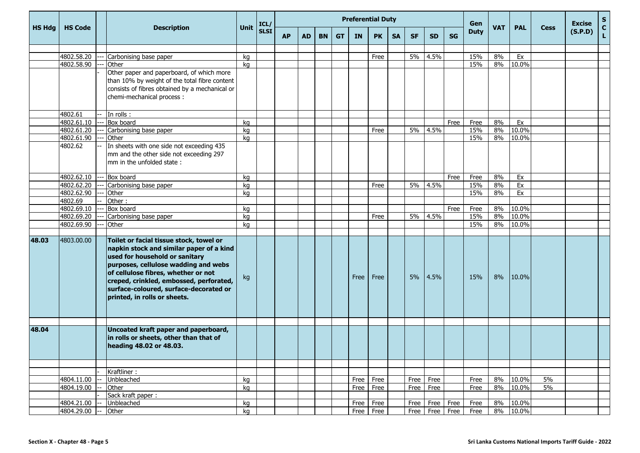|               |                |                                                |          | ICL/        |           |           |           |           | <b>Preferential Duty</b> |           | Gen       |           |                    |           | <b>Excise</b> | S          |            |             |         |                    |
|---------------|----------------|------------------------------------------------|----------|-------------|-----------|-----------|-----------|-----------|--------------------------|-----------|-----------|-----------|--------------------|-----------|---------------|------------|------------|-------------|---------|--------------------|
| <b>HS Hdg</b> | <b>HS Code</b> | <b>Description</b>                             | Unit     | <b>SLSI</b> | <b>AP</b> | <b>AD</b> | <b>BN</b> | <b>GT</b> | <b>IN</b>                | <b>PK</b> | <b>SA</b> | <b>SF</b> | <b>SD</b>          | <b>SG</b> | <b>Duty</b>   | <b>VAT</b> | <b>PAL</b> | <b>Cess</b> | (S.P.D) | $\mathbf{C}$<br>L. |
|               |                |                                                |          |             |           |           |           |           |                          |           |           |           |                    |           |               |            |            |             |         |                    |
|               | 4802.58.20     | Carbonising base paper                         | kq       |             |           |           |           |           |                          | Free      |           | 5%        | 4.5%               |           | 15%           | 8%         | Ex         |             |         |                    |
|               | 4802.58.90     | Other                                          | kg       |             |           |           |           |           |                          |           |           |           |                    |           | 15%           | 8%         | 10.0%      |             |         |                    |
|               |                | Other paper and paperboard, of which more      |          |             |           |           |           |           |                          |           |           |           |                    |           |               |            |            |             |         |                    |
|               |                | than 10% by weight of the total fibre content  |          |             |           |           |           |           |                          |           |           |           |                    |           |               |            |            |             |         |                    |
|               |                | consists of fibres obtained by a mechanical or |          |             |           |           |           |           |                          |           |           |           |                    |           |               |            |            |             |         |                    |
|               |                | chemi-mechanical process :                     |          |             |           |           |           |           |                          |           |           |           |                    |           |               |            |            |             |         |                    |
|               |                |                                                |          |             |           |           |           |           |                          |           |           |           |                    |           |               |            |            |             |         |                    |
|               | 4802.61        | $-$ In rolls :                                 |          |             |           |           |           |           |                          |           |           |           |                    |           |               |            |            |             |         |                    |
|               | 4802.61.10     | Box board                                      | kq       |             |           |           |           |           |                          |           |           |           |                    | Free      | Free          | 8%         | Ex         |             |         |                    |
|               | 4802.61.20     | Carbonising base paper                         | kg       |             |           |           |           |           |                          | Free      |           | 5%        | 4.5%               |           | 15%           | 8%         | 10.0%      |             |         |                    |
|               | 4802.61.90     | Other                                          | kg       |             |           |           |           |           |                          |           |           |           |                    |           | 15%           | 8%         | 10.0%      |             |         |                    |
|               | 4802.62        | In sheets with one side not exceeding 435      |          |             |           |           |           |           |                          |           |           |           |                    |           |               |            |            |             |         |                    |
|               |                | mm and the other side not exceeding 297        |          |             |           |           |           |           |                          |           |           |           |                    |           |               |            |            |             |         |                    |
|               |                | mm in the unfolded state:                      |          |             |           |           |           |           |                          |           |           |           |                    |           |               |            |            |             |         |                    |
|               | 4802.62.10     | Box board                                      |          |             |           |           |           |           |                          |           |           |           |                    |           |               |            |            |             |         |                    |
|               | 4802.62.20     | Carbonising base paper                         | kg<br>kg |             |           |           |           |           |                          | Free      |           | 5%        | 4.5%               | Free      | Free<br>15%   | 8%<br>8%   | Ex<br>Ex   |             |         |                    |
|               | 4802.62.90     | Other                                          | kg       |             |           |           |           |           |                          |           |           |           |                    |           | 15%           | 8%         | Ex         |             |         |                    |
|               | 4802.69        | Other:                                         |          |             |           |           |           |           |                          |           |           |           |                    |           |               |            |            |             |         |                    |
|               | 4802.69.10     | Box board                                      | kg       |             |           |           |           |           |                          |           |           |           |                    | Free      | Free          | 8%         | 10.0%      |             |         |                    |
|               | 4802.69.20     | Carbonising base paper                         | kg       |             |           |           |           |           |                          | Free      |           | 5%        | 4.5%               |           | 15%           | 8%         | 10.0%      |             |         |                    |
|               | 4802.69.90     | <b>Other</b>                                   | kg       |             |           |           |           |           |                          |           |           |           |                    |           | 15%           | 8%         | 10.0%      |             |         |                    |
|               |                |                                                |          |             |           |           |           |           |                          |           |           |           |                    |           |               |            |            |             |         |                    |
| 48.03         | 4803.00.00     | Toilet or facial tissue stock, towel or        |          |             |           |           |           |           |                          |           |           |           |                    |           |               |            |            |             |         |                    |
|               |                | napkin stock and similar paper of a kind       |          |             |           |           |           |           |                          |           |           |           |                    |           |               |            |            |             |         |                    |
|               |                | used for household or sanitary                 |          |             |           |           |           |           |                          |           |           |           |                    |           |               |            |            |             |         |                    |
|               |                | purposes, cellulose wadding and webs           |          |             |           |           |           |           |                          |           |           |           |                    |           |               |            |            |             |         |                    |
|               |                | of cellulose fibres, whether or not            |          |             |           |           |           |           |                          |           |           |           |                    |           |               |            |            |             |         |                    |
|               |                | creped, crinkled, embossed, perforated,        | kg       |             |           |           |           |           | Free                     | Free      |           | 5%        | 4.5%               |           | 15%           | 8%         | 10.0%      |             |         |                    |
|               |                | surface-coloured, surface-decorated or         |          |             |           |           |           |           |                          |           |           |           |                    |           |               |            |            |             |         |                    |
|               |                | printed, in rolls or sheets.                   |          |             |           |           |           |           |                          |           |           |           |                    |           |               |            |            |             |         |                    |
|               |                |                                                |          |             |           |           |           |           |                          |           |           |           |                    |           |               |            |            |             |         |                    |
|               |                |                                                |          |             |           |           |           |           |                          |           |           |           |                    |           |               |            |            |             |         |                    |
|               |                |                                                |          |             |           |           |           |           |                          |           |           |           |                    |           |               |            |            |             |         |                    |
| 48.04         |                | Uncoated kraft paper and paperboard,           |          |             |           |           |           |           |                          |           |           |           |                    |           |               |            |            |             |         |                    |
|               |                | in rolls or sheets, other than that of         |          |             |           |           |           |           |                          |           |           |           |                    |           |               |            |            |             |         |                    |
|               |                | heading 48.02 or 48.03.                        |          |             |           |           |           |           |                          |           |           |           |                    |           |               |            |            |             |         |                    |
|               |                |                                                |          |             |           |           |           |           |                          |           |           |           |                    |           |               |            |            |             |         |                    |
|               |                |                                                |          |             |           |           |           |           |                          |           |           |           |                    |           |               |            |            |             |         |                    |
|               |                | Kraftliner:                                    |          |             |           |           |           |           |                          |           |           |           |                    |           |               |            |            |             |         |                    |
|               | 4804.11.00     | Unbleached                                     | kg       |             |           |           |           |           | Free                     | Free      |           | Free      | Free               |           | Free          | 8%         | 10.0%      | 5%          |         |                    |
|               | 4804.19.00     | Other                                          | kg       |             |           |           |           |           | Free                     | Free      |           | Free      | Free               |           | Free          | 8%         | 10.0%      | 5%          |         |                    |
|               |                | Sack kraft paper:                              |          |             |           |           |           |           |                          |           |           |           |                    |           |               |            |            |             |         |                    |
|               | 4804.21.00     | Unbleached                                     | kg       |             |           |           |           |           | Free                     | Free      |           | Free      | Free Free          |           | Free          | 8%         | 10.0%      |             |         |                    |
|               | 4804.29.00     | Other                                          | kg       |             |           |           |           |           | Free                     | Free      |           |           | Free   Free   Free |           | Free          |            | 8% 10.0%   |             |         |                    |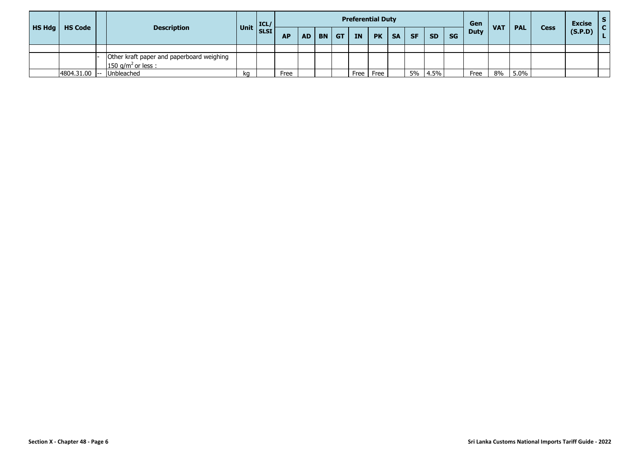|        |                 |                                                                             |          | ICL         |           |           |       | <b>Preferential Duty</b> |           |           |           |           |           | Gen         |            |            |             | <b>Excise</b> | $\mathsf{S}$<br>$\mathbf{C}$ |
|--------|-----------------|-----------------------------------------------------------------------------|----------|-------------|-----------|-----------|-------|--------------------------|-----------|-----------|-----------|-----------|-----------|-------------|------------|------------|-------------|---------------|------------------------------|
| HS Hdg | <b>HS Code</b>  | <b>Description</b>                                                          | Unit $ $ | <b>SLSI</b> | <b>AP</b> | <b>AD</b> | BN GT | <b>IN</b>                | <b>PK</b> | <b>SA</b> | <b>SF</b> | <b>SD</b> | <b>SG</b> | <b>Duty</b> | <b>VAT</b> | <b>PAL</b> | <b>Cess</b> | (S.P.D)       |                              |
|        |                 |                                                                             |          |             |           |           |       |                          |           |           |           |           |           |             |            |            |             |               |                              |
|        |                 | Other kraft paper and paperboard weighing<br>150 g/m <sup>2</sup> or less : |          |             |           |           |       |                          |           |           |           |           |           |             |            |            |             |               |                              |
|        | $4804.31.00$ -- | Unbleached                                                                  | kq       |             | Free      |           |       | Free                     | Free      |           | 5%        | 4.5%      |           | Free        | 8%         | 5.0%       |             |               |                              |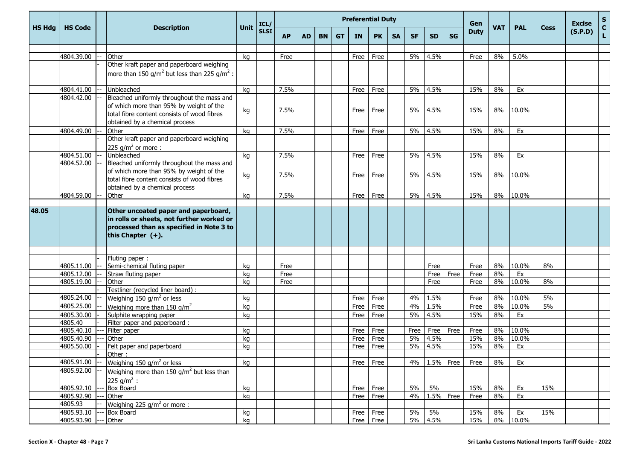|               |                |                                                                                                                                                                        |      | ICL/        |           |           |           |           | <b>Preferential Duty</b> |           |           |           |              |           | Gen         |            |             |             | <b>Excise</b> | $\boldsymbol{\mathsf{s}}$ |
|---------------|----------------|------------------------------------------------------------------------------------------------------------------------------------------------------------------------|------|-------------|-----------|-----------|-----------|-----------|--------------------------|-----------|-----------|-----------|--------------|-----------|-------------|------------|-------------|-------------|---------------|---------------------------|
| <b>HS Hdg</b> | <b>HS Code</b> | <b>Description</b>                                                                                                                                                     | Unit | <b>SLSI</b> | <b>AP</b> | <b>AD</b> | <b>BN</b> | <b>GT</b> | IN                       | <b>PK</b> | <b>SA</b> | <b>SF</b> | <b>SD</b>    | <b>SG</b> | <b>Duty</b> | <b>VAT</b> | <b>PAL</b>  | <b>Cess</b> | (S.P.D)       | $\mathbf c$<br>L.         |
|               |                |                                                                                                                                                                        |      |             |           |           |           |           |                          |           |           |           |              |           |             |            |             |             |               |                           |
|               | 4804.39.00     | Other                                                                                                                                                                  | kq   |             | Free      |           |           |           | Free                     | Free      |           | 5%        | 4.5%         |           | Free        | 8%         | 5.0%        |             |               |                           |
|               |                | Other kraft paper and paperboard weighing                                                                                                                              |      |             |           |           |           |           |                          |           |           |           |              |           |             |            |             |             |               |                           |
|               |                | more than 150 g/m <sup>2</sup> but less than 225 g/m <sup>2</sup> :                                                                                                    |      |             |           |           |           |           |                          |           |           |           |              |           |             |            |             |             |               |                           |
|               | 4804.41.00     | Unbleached                                                                                                                                                             | kg   |             | 7.5%      |           |           |           | Free                     | Free      |           | 5%        | 4.5%         |           | 15%         | 8%         | Ex          |             |               |                           |
|               | 4804.42.00     | Bleached uniformly throughout the mass and                                                                                                                             |      |             |           |           |           |           |                          |           |           |           |              |           |             |            |             |             |               |                           |
|               |                | of which more than 95% by weight of the<br>total fibre content consists of wood fibres                                                                                 | kg   |             | 7.5%      |           |           |           | Free                     | Free      |           | 5%        | 4.5%         |           | 15%         | 8%         | 10.0%       |             |               |                           |
|               |                | obtained by a chemical process                                                                                                                                         |      |             |           |           |           |           |                          |           |           |           |              |           |             |            |             |             |               |                           |
|               | 4804.49.00     | Other                                                                                                                                                                  | kg   |             | 7.5%      |           |           |           | Free                     | Free      |           | 5%        | 4.5%         |           | 15%         | 8%         | Ex          |             |               |                           |
|               |                | Other kraft paper and paperboard weighing<br>225 $q/m^2$ or more :                                                                                                     |      |             |           |           |           |           |                          |           |           |           |              |           |             |            |             |             |               |                           |
|               | 4804.51.00     | Unbleached                                                                                                                                                             | kg   |             | 7.5%      |           |           |           | Free                     | Free      |           | 5%        | 4.5%         |           | 15%         | 8%         | Ex          |             |               |                           |
|               | 4804.52.00     | Bleached uniformly throughout the mass and<br>of which more than 95% by weight of the<br>total fibre content consists of wood fibres<br>obtained by a chemical process | kg   |             | 7.5%      |           |           |           | Free                     | Free      |           | 5%        | 4.5%         |           | 15%         | 8%         | 10.0%       |             |               |                           |
|               | 4804.59.00     | Other                                                                                                                                                                  | kg   |             | 7.5%      |           |           |           | Free                     | Free      |           | 5%        | 4.5%         |           | 15%         | 8%         | 10.0%       |             |               |                           |
|               |                |                                                                                                                                                                        |      |             |           |           |           |           |                          |           |           |           |              |           |             |            |             |             |               |                           |
| 48.05         |                | Other uncoated paper and paperboard,<br>in rolls or sheets, not further worked or<br>processed than as specified in Note 3 to<br>this Chapter $(+)$ .                  |      |             |           |           |           |           |                          |           |           |           |              |           |             |            |             |             |               |                           |
|               |                |                                                                                                                                                                        |      |             |           |           |           |           |                          |           |           |           |              |           |             |            |             |             |               |                           |
|               |                | Fluting paper:                                                                                                                                                         |      |             |           |           |           |           |                          |           |           |           |              |           |             |            |             |             |               |                           |
|               | 4805.11.00     | Semi-chemical fluting paper                                                                                                                                            | kq   |             | Free      |           |           |           |                          |           |           |           | Free         |           | Free        | 8%         | 10.0%       | 8%          |               |                           |
|               | 4805.12.00     | Straw fluting paper                                                                                                                                                    | kg   |             | Free      |           |           |           |                          |           |           |           | Free         | Free      | Free        | 8%         | Ex<br>10.0% |             |               |                           |
|               | 4805.19.00     | Other<br>Testliner (recycled liner board) :                                                                                                                            | kg   |             | Free      |           |           |           |                          |           |           |           | Free         |           | Free        | 8%         |             | 8%          |               |                           |
|               | 4805.24.00     | Weighing 150 g/m <sup>2</sup> or less                                                                                                                                  | kg   |             |           |           |           |           | Free                     | Free      |           | 4%        | 1.5%         |           | Free        | 8%         | 10.0%       | 5%          |               |                           |
|               | 4805.25.00     | Weighing more than 150 $q/m^2$                                                                                                                                         | kg   |             |           |           |           |           | Free                     | Free      |           | 4%        | 1.5%         |           | Free        | 8%         | 10.0%       | 5%          |               |                           |
|               | 4805.30.00     | Sulphite wrapping paper                                                                                                                                                | kg   |             |           |           |           |           | Free                     | Free      |           | 5%        | 4.5%         |           | 15%         | 8%         | Ex          |             |               |                           |
|               | 4805.40        | Filter paper and paperboard :                                                                                                                                          |      |             |           |           |           |           |                          |           |           |           |              |           |             |            |             |             |               |                           |
|               | 4805.40.10     | Filter paper                                                                                                                                                           | kq   |             |           |           |           |           | Free                     | Free      |           | Free      | <b>Free</b>  | Free      | Free        | 8%         | 10.0%       |             |               |                           |
|               | 4805.40.90     | Other                                                                                                                                                                  | kg   |             |           |           |           |           | Free                     | Free      |           | 5%        | 4.5%         |           | 15%         | 8%         | 10.0%       |             |               |                           |
|               | 4805.50.00     | Felt paper and paperboard                                                                                                                                              | kg   |             |           |           |           |           | Free                     | Free      |           | 5%        | 4.5%         |           | 15%         | 8%         | Ex          |             |               |                           |
|               |                | Other :                                                                                                                                                                |      |             |           |           |           |           |                          |           |           |           |              |           |             |            |             |             |               |                           |
|               | 4805.91.00     | Weighing 150 g/m <sup>2</sup> or less                                                                                                                                  | kg   |             |           |           |           |           | Free                     | Free      |           | 4%        | $1.5\%$ Free |           | Free        | 8%         | Ex          |             |               |                           |
|               | 4805.92.00     | Weighing more than 150 $g/m^2$ but less than<br>225 $q/m^2$ :                                                                                                          |      |             |           |           |           |           |                          |           |           |           |              |           |             |            |             |             |               |                           |
|               | 4805.92.10     | <b>Box Board</b>                                                                                                                                                       | kg   |             |           |           |           |           | Free                     | Free      |           | 5%        | 5%           |           | 15%         | 8%         | Ex          | 15%         |               |                           |
|               | 4805.92.90     | Other                                                                                                                                                                  | kg   |             |           |           |           |           | Free                     | Free      |           | 4%        | 1.5% Free    |           | Free        | 8%         | Ex          |             |               |                           |
|               | 4805.93        | Weighing 225 $q/m^2$ or more:                                                                                                                                          |      |             |           |           |           |           |                          |           |           |           |              |           |             |            |             |             |               |                           |
|               | 4805.93.10     | <b>Box Board</b>                                                                                                                                                       | kg   |             |           |           |           |           | Free                     | Free      |           | 5%        | 5%           |           | 15%         | 8%         | Ex          | 15%         |               |                           |
|               | 4805.93.90     | Other                                                                                                                                                                  | kg   |             |           |           |           |           | Free Free                |           |           |           | 5% 4.5%      |           | 15%         |            | 8% 10.0%    |             |               |                           |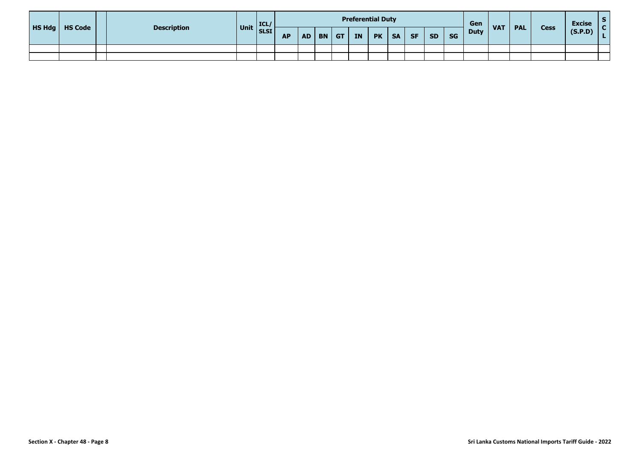| <b>HS Hdg</b>   HS Code | <b>Description</b> |                           |           |  |          | <b>Preferential Duty</b> |           |           |           |           |           | Gen         | <b>VAT</b> | <b>PAL</b> | <b>Cess</b> | <b>Excise</b> |  |
|-------------------------|--------------------|---------------------------|-----------|--|----------|--------------------------|-----------|-----------|-----------|-----------|-----------|-------------|------------|------------|-------------|---------------|--|
|                         |                    | $\vert$ Unit $\vert$ ICL/ | <b>AP</b> |  | AD BN GT | <b>IN</b>                | <b>PK</b> | <b>SA</b> | <b>SF</b> | <b>SD</b> | <b>SG</b> | <b>Duty</b> |            |            |             | (S.P.D)       |  |
|                         |                    |                           |           |  |          |                          |           |           |           |           |           |             |            |            |             |               |  |
|                         |                    |                           |           |  |          |                          |           |           |           |           |           |             |            |            |             |               |  |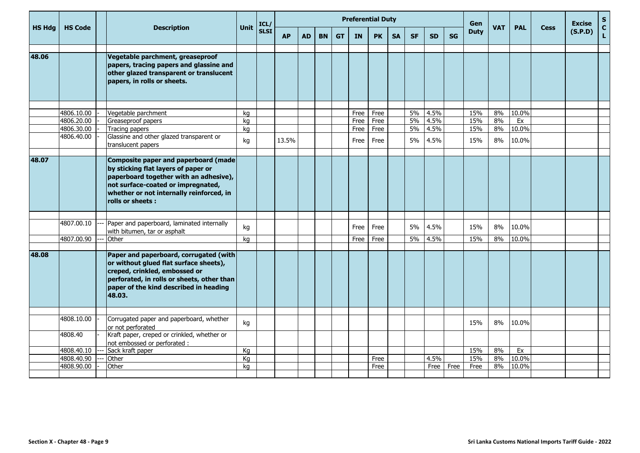|               |                |                                                                                                                                                                                                                             |      | ICL/        |           |           |           |           | <b>Preferential Duty</b> |           |           |           |           |           | Gen         |            |            |             | <b>Excise</b> | $\frac{{\sf s}}{{\sf c}}$ |
|---------------|----------------|-----------------------------------------------------------------------------------------------------------------------------------------------------------------------------------------------------------------------------|------|-------------|-----------|-----------|-----------|-----------|--------------------------|-----------|-----------|-----------|-----------|-----------|-------------|------------|------------|-------------|---------------|---------------------------|
| <b>HS Hdg</b> | <b>HS Code</b> | <b>Description</b>                                                                                                                                                                                                          | Unit | <b>SLSI</b> | <b>AP</b> | <b>AD</b> | <b>BN</b> | <b>GT</b> | <b>IN</b>                | <b>PK</b> | <b>SA</b> | <b>SF</b> | <b>SD</b> | <b>SG</b> | <b>Duty</b> | <b>VAT</b> | <b>PAL</b> | <b>Cess</b> | (S.P.D)       | L.                        |
| 48.06         |                | Vegetable parchment, greaseproof<br>papers, tracing papers and glassine and<br>other glazed transparent or translucent<br>papers, in rolls or sheets.                                                                       |      |             |           |           |           |           |                          |           |           |           |           |           |             |            |            |             |               |                           |
|               | 4806.10.00     | Vegetable parchment                                                                                                                                                                                                         | kg   |             |           |           |           |           | Free                     | Free      |           | 5%        | 4.5%      |           | 15%         | 8%         | 10.0%      |             |               |                           |
|               | 4806.20.00     | Greaseproof papers                                                                                                                                                                                                          | kg   |             |           |           |           |           | Free                     | Free      |           | 5%        | 4.5%      |           | 15%         | 8%         | Ex         |             |               |                           |
|               | 4806.30.00     | Tracing papers                                                                                                                                                                                                              | kg   |             |           |           |           |           | Free                     | Free      |           | 5%        | 4.5%      |           | 15%         | 8%         | 10.0%      |             |               |                           |
|               | 4806.40.00     | Glassine and other glazed transparent or<br>translucent papers                                                                                                                                                              | kg   |             | 13.5%     |           |           |           | Free                     | Free      |           | 5%        | 4.5%      |           | 15%         | 8%         | 10.0%      |             |               |                           |
| 48.07         |                | Composite paper and paperboard (made<br>by sticking flat layers of paper or<br>paperboard together with an adhesive),<br>not surface-coated or impregnated,<br>whether or not internally reinforced, in<br>rolls or sheets: |      |             |           |           |           |           |                          |           |           |           |           |           |             |            |            |             |               |                           |
|               |                |                                                                                                                                                                                                                             |      |             |           |           |           |           |                          |           |           |           |           |           |             |            |            |             |               |                           |
|               | 4807.00.10     | Paper and paperboard, laminated internally<br>with bitumen, tar or asphalt                                                                                                                                                  | kg   |             |           |           |           |           | Free                     | Free      |           | 5%        | 4.5%      |           | 15%         | 8%         | 10.0%      |             |               |                           |
|               | 4807.00.90     | Other                                                                                                                                                                                                                       | kg   |             |           |           |           |           | Free                     | Free      |           | 5%        | 4.5%      |           | 15%         | 8%         | 10.0%      |             |               |                           |
|               |                |                                                                                                                                                                                                                             |      |             |           |           |           |           |                          |           |           |           |           |           |             |            |            |             |               |                           |
| 48.08         |                | Paper and paperboard, corrugated (with<br>or without glued flat surface sheets),<br>creped, crinkled, embossed or<br>perforated, in rolls or sheets, other than<br>paper of the kind described in heading<br>48.03.         |      |             |           |           |           |           |                          |           |           |           |           |           |             |            |            |             |               |                           |
|               |                |                                                                                                                                                                                                                             |      |             |           |           |           |           |                          |           |           |           |           |           |             |            |            |             |               |                           |
|               | 4808.10.00     | Corrugated paper and paperboard, whether<br>or not perforated                                                                                                                                                               | kg   |             |           |           |           |           |                          |           |           |           |           |           | 15%         | 8%         | 10.0%      |             |               |                           |
|               | 4808.40        | Kraft paper, creped or crinkled, whether or<br>not embossed or perforated :                                                                                                                                                 |      |             |           |           |           |           |                          |           |           |           |           |           |             |            |            |             |               |                           |
|               | 4808.40.10     | Sack kraft paper                                                                                                                                                                                                            | Kg   |             |           |           |           |           |                          |           |           |           |           |           | 15%         | 8%         | Ex         |             |               |                           |
|               | 4808.40.90     | Other                                                                                                                                                                                                                       | Kg   |             |           |           |           |           |                          | Free      |           |           | 4.5%      |           | 15%         | 8%         | 10.0%      |             |               |                           |
|               | 4808.90.00     | Other                                                                                                                                                                                                                       | kg   |             |           |           |           |           |                          | Free      |           |           | Free      | Free      | Free        | 8%         | 10.0%      |             |               |                           |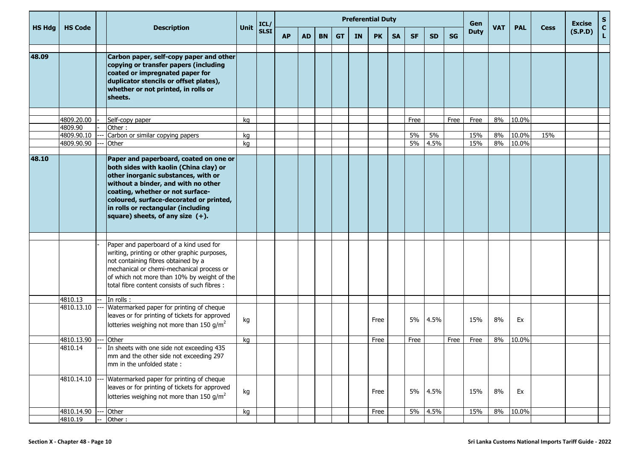|               |                       |                                                                                                                                                                                                                                                                                                                            |             |              |           |           |           |           | <b>Preferential Duty</b> |           |           |           |           |           | Gen         |            |            |             | <b>Excise</b> | S                  |
|---------------|-----------------------|----------------------------------------------------------------------------------------------------------------------------------------------------------------------------------------------------------------------------------------------------------------------------------------------------------------------------|-------------|--------------|-----------|-----------|-----------|-----------|--------------------------|-----------|-----------|-----------|-----------|-----------|-------------|------------|------------|-------------|---------------|--------------------|
| <b>HS Hdg</b> | <b>HS Code</b>        | <b>Description</b>                                                                                                                                                                                                                                                                                                         | <b>Unit</b> | ICL/<br>SLSI | <b>AP</b> | <b>AD</b> | <b>BN</b> | <b>GT</b> | IN                       | <b>PK</b> | <b>SA</b> | <b>SF</b> | <b>SD</b> | <b>SG</b> | <b>Duty</b> | <b>VAT</b> | <b>PAL</b> | <b>Cess</b> | (S.P.D)       | $\mathbf{C}$<br>L. |
| 48.09         |                       | Carbon paper, self-copy paper and other<br>copying or transfer papers (including<br>coated or impregnated paper for<br>duplicator stencils or offset plates),<br>whether or not printed, in rolls or<br>sheets.                                                                                                            |             |              |           |           |           |           |                          |           |           |           |           |           |             |            |            |             |               |                    |
|               |                       |                                                                                                                                                                                                                                                                                                                            |             |              |           |           |           |           |                          |           |           |           |           |           |             |            |            |             |               |                    |
|               | 4809.20.00            | Self-copy paper                                                                                                                                                                                                                                                                                                            | kg          |              |           |           |           |           |                          |           |           | Free      |           | Free      | Free        | 8%         | 10.0%      |             |               |                    |
|               | 4809.90<br>4809.90.10 | Other:<br>Carbon or similar copying papers                                                                                                                                                                                                                                                                                 |             |              |           |           |           |           |                          |           |           | 5%        | 5%        |           | 15%         | 8%         | 10.0%      | 15%         |               |                    |
|               | 4809.90.90            | Other                                                                                                                                                                                                                                                                                                                      | kg<br>kg    |              |           |           |           |           |                          |           |           | 5%        | 4.5%      |           | 15%         | 8%         | 10.0%      |             |               |                    |
|               |                       |                                                                                                                                                                                                                                                                                                                            |             |              |           |           |           |           |                          |           |           |           |           |           |             |            |            |             |               |                    |
| 48.10         |                       | Paper and paperboard, coated on one or<br>both sides with kaolin (China clay) or<br>other inorganic substances, with or<br>without a binder, and with no other<br>coating, whether or not surface-<br>coloured, surface-decorated or printed,<br>in rolls or rectangular (including<br>square) sheets, of any size $(+)$ . |             |              |           |           |           |           |                          |           |           |           |           |           |             |            |            |             |               |                    |
|               |                       | Paper and paperboard of a kind used for<br>writing, printing or other graphic purposes,<br>not containing fibres obtained by a<br>mechanical or chemi-mechanical process or<br>of which not more than 10% by weight of the<br>total fibre content consists of such fibres :                                                |             |              |           |           |           |           |                          |           |           |           |           |           |             |            |            |             |               |                    |
|               | 4810.13               | In rolls:                                                                                                                                                                                                                                                                                                                  |             |              |           |           |           |           |                          |           |           |           |           |           |             |            |            |             |               |                    |
|               | 4810.13.10            | Watermarked paper for printing of cheque<br>leaves or for printing of tickets for approved<br>lotteries weighing not more than 150 g/m <sup>2</sup>                                                                                                                                                                        | kg          |              |           |           |           |           |                          | Free      |           | 5%        | 4.5%      |           | 15%         | 8%         | Ex         |             |               |                    |
|               | 4810.13.90            | Other                                                                                                                                                                                                                                                                                                                      | kg          |              |           |           |           |           |                          | Free      |           | Free      |           | Free      | Free        | 8%         | 10.0%      |             |               |                    |
|               | 4810.14               | In sheets with one side not exceeding 435<br>mm and the other side not exceeding 297<br>mm in the unfolded state:                                                                                                                                                                                                          |             |              |           |           |           |           |                          |           |           |           |           |           |             |            |            |             |               |                    |
|               | 4810.14.10            | Watermarked paper for printing of cheque<br>leaves or for printing of tickets for approved<br>lotteries weighing not more than 150 g/m <sup>2</sup>                                                                                                                                                                        | kg          |              |           |           |           |           |                          | Free      |           | 5%        | 4.5%      |           | 15%         | 8%         | Ex         |             |               |                    |
|               | 4810.14.90            | Other                                                                                                                                                                                                                                                                                                                      | kg          |              |           |           |           |           |                          | Free      |           | 5%        | 4.5%      |           | 15%         | 8%         | 10.0%      |             |               |                    |
|               | 4810.19               | Other:                                                                                                                                                                                                                                                                                                                     |             |              |           |           |           |           |                          |           |           |           |           |           |             |            |            |             |               |                    |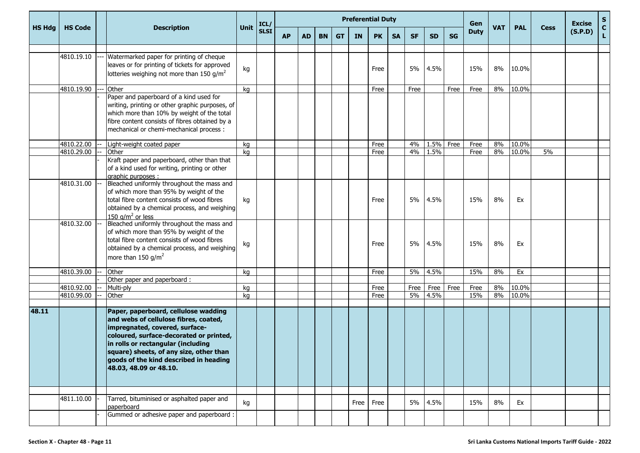|               |                |                                                                                                                                                                                                                                                                                                                 |      |              |           |           |           |           |           | <b>Preferential Duty</b> |           |           |           |           | Gen         |            |            |             | <b>Excise</b> | S           |
|---------------|----------------|-----------------------------------------------------------------------------------------------------------------------------------------------------------------------------------------------------------------------------------------------------------------------------------------------------------------|------|--------------|-----------|-----------|-----------|-----------|-----------|--------------------------|-----------|-----------|-----------|-----------|-------------|------------|------------|-------------|---------------|-------------|
| <b>HS Hdg</b> | <b>HS Code</b> | <b>Description</b>                                                                                                                                                                                                                                                                                              | Unit | ICL/<br>SLSI | <b>AP</b> | <b>AD</b> | <b>BN</b> | <b>GT</b> | <b>IN</b> | <b>PK</b>                | <b>SA</b> | <b>SF</b> | <b>SD</b> | <b>SG</b> | <b>Duty</b> | <b>VAT</b> | <b>PAL</b> | <b>Cess</b> | (S.P.D)       | $\mathbf C$ |
|               | 4810.19.10     | Watermarked paper for printing of cheque<br>leaves or for printing of tickets for approved<br>lotteries weighing not more than 150 g/m <sup>2</sup>                                                                                                                                                             | kg   |              |           |           |           |           |           | Free                     |           | 5%        | 4.5%      |           | 15%         | 8%         | 10.0%      |             |               |             |
|               | 4810.19.90     | Other                                                                                                                                                                                                                                                                                                           | kg   |              |           |           |           |           |           | Free                     |           | Free      |           | Free      | Free        | 8%         | 10.0%      |             |               |             |
|               |                | Paper and paperboard of a kind used for<br>writing, printing or other graphic purposes, of<br>which more than 10% by weight of the total<br>fibre content consists of fibres obtained by a<br>mechanical or chemi-mechanical process :                                                                          |      |              |           |           |           |           |           |                          |           |           |           |           |             |            |            |             |               |             |
|               | 4810.22.00     | Light-weight coated paper                                                                                                                                                                                                                                                                                       | kg   |              |           |           |           |           |           | Free                     |           | 4%        | 1.5%      | Free      | Free        | 8%         | 10.0%      |             |               |             |
|               | 4810.29.00     | Other                                                                                                                                                                                                                                                                                                           | ka   |              |           |           |           |           |           | Free                     |           | 4%        | 1.5%      |           | Free        | 8%         | 10.0%      | 5%          |               |             |
|               | 4810.31.00     | Kraft paper and paperboard, other than that<br>of a kind used for writing, printing or other<br>graphic purposes :<br>Bleached uniformly throughout the mass and                                                                                                                                                |      |              |           |           |           |           |           |                          |           |           |           |           |             |            |            |             |               |             |
|               |                | of which more than 95% by weight of the<br>total fibre content consists of wood fibres<br>obtained by a chemical process, and weighing<br>150 $a/m^2$ or less                                                                                                                                                   | kg   |              |           |           |           |           |           | Free                     |           | 5%        | 4.5%      |           | 15%         | 8%         | Ex         |             |               |             |
|               | 4810.32.00     | Bleached uniformly throughout the mass and<br>of which more than 95% by weight of the<br>total fibre content consists of wood fibres<br>obtained by a chemical process, and weighing<br>more than 150 $g/m^2$                                                                                                   | kg   |              |           |           |           |           |           | Free                     |           | 5%        | 4.5%      |           | 15%         | 8%         | Ex         |             |               |             |
|               | 4810.39.00     | Other                                                                                                                                                                                                                                                                                                           | kg   |              |           |           |           |           |           | Free                     |           | 5%        | 4.5%      |           | 15%         | 8%         | Ex         |             |               |             |
|               |                | Other paper and paperboard:                                                                                                                                                                                                                                                                                     |      |              |           |           |           |           |           |                          |           |           |           |           |             |            |            |             |               |             |
|               | 4810.92.00     | Multi-ply                                                                                                                                                                                                                                                                                                       | kg   |              |           |           |           |           |           | Free                     |           | Free      | Free      | Free      | Free        | 8%         | 10.0%      |             |               |             |
|               | 4810.99.00     | Other                                                                                                                                                                                                                                                                                                           | kg   |              |           |           |           |           |           | Free                     |           | 5%        | 4.5%      |           | 15%         | 8%         | 10.0%      |             |               |             |
| 48.11         |                | Paper, paperboard, cellulose wadding<br>and webs of cellulose fibres, coated,<br>impregnated, covered, surface-<br>coloured, surface-decorated or printed,<br>in rolls or rectangular (including<br>square) sheets, of any size, other than<br>goods of the kind described in heading<br>48.03, 48.09 or 48.10. |      |              |           |           |           |           |           |                          |           |           |           |           |             |            |            |             |               |             |
|               | 4811.10.00     | Tarred, bituminised or asphalted paper and<br>paperboard                                                                                                                                                                                                                                                        | kg   |              |           |           |           |           | Free      | Free                     |           | 5%        | 4.5%      |           | 15%         | 8%         | Ex         |             |               |             |
|               |                | Gummed or adhesive paper and paperboard :                                                                                                                                                                                                                                                                       |      |              |           |           |           |           |           |                          |           |           |           |           |             |            |            |             |               |             |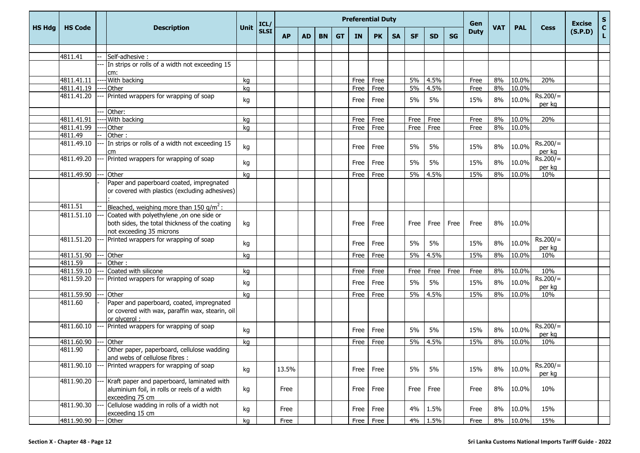|               |                      |                                                                                                                        |      | ICL/        |           |           |           |           | <b>Preferential Duty</b> |           |           |           |           |           | Gen         |            |            |                      | <b>Excise</b> | $\frac{{\sf s}}{{\sf c}}$ |
|---------------|----------------------|------------------------------------------------------------------------------------------------------------------------|------|-------------|-----------|-----------|-----------|-----------|--------------------------|-----------|-----------|-----------|-----------|-----------|-------------|------------|------------|----------------------|---------------|---------------------------|
| <b>HS Hdg</b> | <b>HS Code</b>       | <b>Description</b>                                                                                                     | Unit | <b>SLSI</b> | <b>AP</b> | <b>AD</b> | <b>BN</b> | <b>GT</b> | <b>IN</b>                | <b>PK</b> | <b>SA</b> | <b>SF</b> | <b>SD</b> | <b>SG</b> | <b>Duty</b> | <b>VAT</b> | <b>PAL</b> | <b>Cess</b>          | (S.P.D)       | $\mathbf L$               |
|               |                      |                                                                                                                        |      |             |           |           |           |           |                          |           |           |           |           |           |             |            |            |                      |               |                           |
|               | 4811.41              | Self-adhesive :                                                                                                        |      |             |           |           |           |           |                          |           |           |           |           |           |             |            |            |                      |               |                           |
|               |                      | In strips or rolls of a width not exceeding 15<br>cm:                                                                  |      |             |           |           |           |           |                          |           |           |           |           |           |             |            |            |                      |               |                           |
|               | 4811.41.11           | With backing                                                                                                           | kg   |             |           |           |           |           | Free                     | Free      |           | 5%        | 4.5%      |           | Free        | 8%         | 10.0%      | 20%                  |               |                           |
|               | 4811.41.19           | <b>Other</b>                                                                                                           | kg   |             |           |           |           |           | Free                     | Free      |           | 5%        | 4.5%      |           | Free        | 8%         | 10.0%      |                      |               |                           |
|               | 4811.41.20           | Printed wrappers for wrapping of soap                                                                                  | kg   |             |           |           |           |           | Free                     | Free      |           | 5%        | 5%        |           | 15%         | 8%         | 10.0%      | $Rs.200/=$<br>per kg |               |                           |
|               |                      | Other:                                                                                                                 |      |             |           |           |           |           |                          |           |           |           |           |           |             |            |            |                      |               |                           |
|               | 4811.41.91           | With backing                                                                                                           | kg   |             |           |           |           |           | Free                     | Free      |           | Free      | Free      |           | Free        | 8%         | $10.0\%$   | 20%                  |               |                           |
|               | 4811.41.99           | Other                                                                                                                  | kg   |             |           |           |           |           | Free                     | Free      |           | Free      | Free      |           | Free        | 8%         | 10.0%      |                      |               |                           |
|               | 4811.49              | Other:                                                                                                                 |      |             |           |           |           |           |                          |           |           |           |           |           |             |            |            |                      |               |                           |
|               | 4811.49.10           | In strips or rolls of a width not exceeding 15<br>cm                                                                   | kg   |             |           |           |           |           | Free                     | Free      |           | 5%        | 5%        |           | 15%         | 8%         | 10.0%      | $Rs.200/=$<br>per kg |               |                           |
|               | 4811.49.20           | Printed wrappers for wrapping of soap                                                                                  | kg   |             |           |           |           |           | Free                     | Free      |           | 5%        | 5%        |           | 15%         | 8%         | 10.0%      | $Rs.200/=$<br>per kg |               |                           |
|               | 4811.49.90           | Other                                                                                                                  | kg   |             |           |           |           |           | Free                     | Free      |           | 5%        | 4.5%      |           | 15%         | 8%         | 10.0%      | 10%                  |               |                           |
|               |                      | Paper and paperboard coated, impregnated<br>or covered with plastics (excluding adhesives)                             |      |             |           |           |           |           |                          |           |           |           |           |           |             |            |            |                      |               |                           |
|               | 4811.51              | Bleached, weighing more than 150 $g/m^2$ :                                                                             |      |             |           |           |           |           |                          |           |           |           |           |           |             |            |            |                      |               |                           |
|               | 4811.51.10           | Coated with polyethylene ,on one side or<br>both sides, the total thickness of the coating<br>not exceeding 35 microns | kg   |             |           |           |           |           | Free                     | Free      |           | Free      | Free      | Free      | Free        | 8%         | 10.0%      |                      |               |                           |
|               | 4811.51.20           | Printed wrappers for wrapping of soap                                                                                  | kg   |             |           |           |           |           | Free                     | Free      |           | 5%        | 5%        |           | 15%         | 8%         | 10.0%      | $Rs.200/=$<br>per kg |               |                           |
|               | 4811.51.90           | Other                                                                                                                  | kg   |             |           |           |           |           | Free                     | Free      |           | 5%        | 4.5%      |           | 15%         | 8%         | 10.0%      | 10%                  |               |                           |
|               | 4811.59              | Other:                                                                                                                 |      |             |           |           |           |           |                          |           |           |           |           |           |             |            |            |                      |               |                           |
|               | 4811.59.10           | Coated with silicone                                                                                                   | kg   |             |           |           |           |           | Free                     | Free      |           | Free      | Free      | Free      | Free        | 8%         | 10.0%      | 10%                  |               |                           |
|               | 4811.59.20           | Printed wrappers for wrapping of soap                                                                                  | kg   |             |           |           |           |           | Free                     | Free      |           | 5%        | 5%        |           | 15%         | 8%         | 10.0%      | $Rs.200/=$<br>per kg |               |                           |
|               | 4811.59.90           | <b>Other</b>                                                                                                           | kg   |             |           |           |           |           | Free                     | Free      |           | 5%        | 4.5%      |           | 15%         | 8%         | 10.0%      | 10%                  |               |                           |
|               | 4811.60              | Paper and paperboard, coated, impregnated<br>or covered with wax, paraffin wax, stearin, oil<br>or alvcerol:           |      |             |           |           |           |           |                          |           |           |           |           |           |             |            |            |                      |               |                           |
|               | 4811.60.10           | Printed wrappers for wrapping of soap                                                                                  | kg   |             |           |           |           |           | Free                     | Free      |           | 5%        | 5%        |           | 15%         | 8%         | 10.0%      | $Rs.200/=$<br>per kg |               |                           |
|               | 4811.60.90           | Other                                                                                                                  | kg   |             |           |           |           |           | Free                     | Free      |           | 5%        | 4.5%      |           | 15%         | 8%         | 10.0%      | 10%                  |               |                           |
|               | 4811.90              | Other paper, paperboard, cellulose wadding<br>and webs of cellulose fibres :                                           |      |             |           |           |           |           |                          |           |           |           |           |           |             |            |            |                      |               |                           |
|               | 4811.90.10           | Printed wrappers for wrapping of soap                                                                                  | kg   |             | 13.5%     |           |           |           | Free                     | Free      |           | 5%        | 5%        |           | 15%         | 8%         | 10.0%      | $Rs.200/=$<br>per kg |               |                           |
|               | 4811.90.20           | Kraft paper and paperboard, laminated with<br>aluminium foil, in rolls or reels of a width<br>exceeding 75 cm          | kg   |             | Free      |           |           |           | Free                     | Free      |           | Free      | Free      |           | Free        | 8%         | 10.0%      | 10%                  |               |                           |
|               | 4811.90.30           | Cellulose wadding in rolls of a width not<br>exceeding 15 cm                                                           | kg   |             | Free      |           |           |           | Free                     | Free      |           | 4%        | 1.5%      |           | Free        | 8%         | 10.0%      | 15%                  |               |                           |
|               | 4811.90.90 --- Other |                                                                                                                        | kg   |             | Free      |           |           |           | Free                     | Free      |           |           | 4% 1.5%   |           | Free        | 8%         | 10.0%      | 15%                  |               |                           |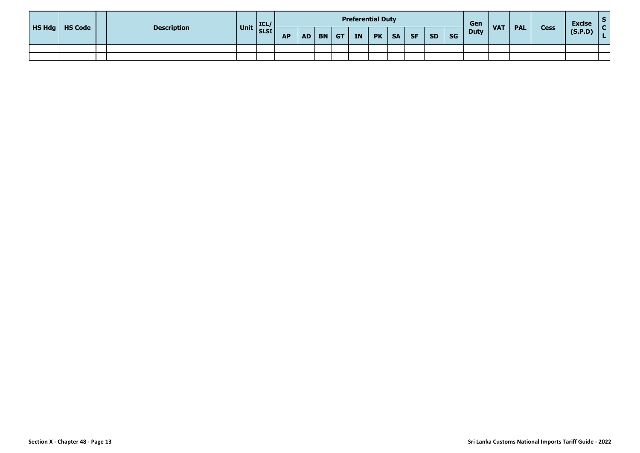| <b>HS Hdg</b>   HS Code | <b>Description</b> |                           |           |  |          | <b>Preferential Duty</b> |           |           |           |           |           | Gen         | <b>VAT</b> | <b>PAL</b> | <b>Cess</b> | <b>Excise</b> |  |
|-------------------------|--------------------|---------------------------|-----------|--|----------|--------------------------|-----------|-----------|-----------|-----------|-----------|-------------|------------|------------|-------------|---------------|--|
|                         |                    | $\vert$ Unit $\vert$ ICL/ | <b>AP</b> |  | AD BN GT | <b>IN</b>                | <b>PK</b> | <b>SA</b> | <b>SF</b> | <b>SD</b> | <b>SG</b> | <b>Duty</b> |            |            |             | (S.P.D)       |  |
|                         |                    |                           |           |  |          |                          |           |           |           |           |           |             |            |            |             |               |  |
|                         |                    |                           |           |  |          |                          |           |           |           |           |           |             |            |            |             |               |  |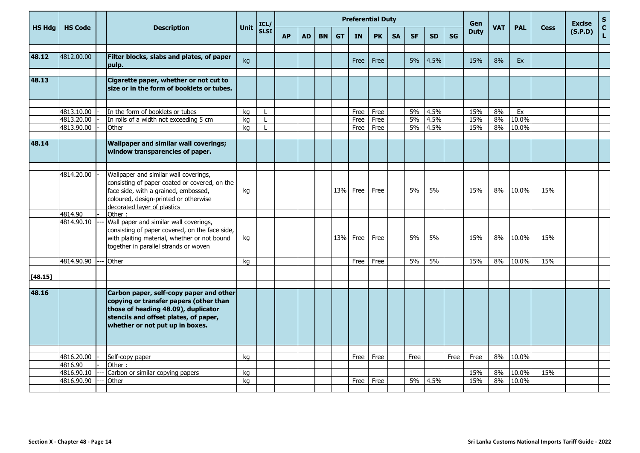|               |                          |                                                                                                                                                                                                                  |          |                   | <b>Preferential Duty</b><br>Gen<br>ICL/<br><b>VAT</b><br><b>PAL</b> |           |           |           |              |              |           |           |              |           | <b>Excise</b> | $\mathbf S$ |                |             |         |                              |
|---------------|--------------------------|------------------------------------------------------------------------------------------------------------------------------------------------------------------------------------------------------------------|----------|-------------------|---------------------------------------------------------------------|-----------|-----------|-----------|--------------|--------------|-----------|-----------|--------------|-----------|---------------|-------------|----------------|-------------|---------|------------------------------|
| <b>HS Hdg</b> | <b>HS Code</b>           | <b>Description</b>                                                                                                                                                                                               | Unit     | <b>SLSI</b>       | <b>AP</b>                                                           | <b>AD</b> | <b>BN</b> | <b>GT</b> | IN           | <b>PK</b>    | <b>SA</b> | <b>SF</b> | <b>SD</b>    | <b>SG</b> | <b>Duty</b>   |             |                | <b>Cess</b> | (S.P.D) | $\mathbf{C}$<br>$\mathbf{L}$ |
| 48.12         | 4812.00.00               | Filter blocks, slabs and plates, of paper<br>pulp.                                                                                                                                                               | kg       |                   |                                                                     |           |           |           | Free         | Free         |           | 5%        | 4.5%         |           | 15%           | 8%          | <b>Ex</b>      |             |         |                              |
| 48.13         |                          | Cigarette paper, whether or not cut to<br>size or in the form of booklets or tubes.                                                                                                                              |          |                   |                                                                     |           |           |           |              |              |           |           |              |           |               |             |                |             |         |                              |
|               | 4813.10.00<br>4813.20.00 | In the form of booklets or tubes<br>In rolls of a width not exceeding 5 cm                                                                                                                                       | kg       | L<br>$\mathbf{I}$ |                                                                     |           |           |           | Free         | Free         |           | 5%<br>5%  | 4.5%<br>4.5% |           | 15%<br>15%    | 8%<br>8%    | Ex<br>10.0%    |             |         |                              |
|               | 4813.90.00               | Other                                                                                                                                                                                                            | kg<br>kg | $\mathbf{I}$      |                                                                     |           |           |           | Free<br>Free | Free<br>Free |           | 5%        | 4.5%         |           | 15%           | 8%          | 10.0%          |             |         |                              |
| 48.14         |                          | <b>Wallpaper and similar wall coverings;</b><br>window transparencies of paper.                                                                                                                                  |          |                   |                                                                     |           |           |           |              |              |           |           |              |           |               |             |                |             |         |                              |
|               | 4814.20.00<br>4814.90    | Wallpaper and similar wall coverings,<br>consisting of paper coated or covered, on the<br>face side, with a grained, embossed,<br>coloured, design-printed or otherwise<br>decorated laver of plastics<br>Other: | kg       |                   |                                                                     |           |           | 13%       | Free         | Free         |           | 5%        | 5%           |           | 15%           | 8%          | 10.0%          | 15%         |         |                              |
|               | 4814.90.10               | Wall paper and similar wall coverings,<br>consisting of paper covered, on the face side,<br>with plaiting material, whether or not bound<br>together in parallel strands or woven                                | kg       |                   |                                                                     |           |           | 13%       | Free         | Free         |           | 5%        | 5%           |           | 15%           | 8%          | 10.0%          | 15%         |         |                              |
|               | 4814.90.90               | Other                                                                                                                                                                                                            | kg       |                   |                                                                     |           |           |           | Free         | Free         |           | 5%        | 5%           |           | 15%           | 8%          | 10.0%          | 15%         |         |                              |
| [48.15]       |                          |                                                                                                                                                                                                                  |          |                   |                                                                     |           |           |           |              |              |           |           |              |           |               |             |                |             |         |                              |
| 48.16         |                          | Carbon paper, self-copy paper and other<br>copying or transfer papers (other than<br>those of heading 48.09), duplicator<br>stencils and offset plates, of paper,<br>whether or not put up in boxes.             |          |                   |                                                                     |           |           |           |              |              |           |           |              |           |               |             |                |             |         |                              |
|               | 4816.20.00               | Self-copy paper                                                                                                                                                                                                  | kg       |                   |                                                                     |           |           |           | Free         | Free         |           | Free      |              | Free      | Free          | 8%          | 10.0%          |             |         |                              |
|               | 4816.90                  | Other:                                                                                                                                                                                                           |          |                   |                                                                     |           |           |           |              |              |           |           |              |           |               |             |                |             |         |                              |
|               | 4816.90.10<br>4816.90.90 | Carbon or similar copying papers<br>Other                                                                                                                                                                        | kq<br>kq |                   |                                                                     |           |           |           | Free         | Free         |           | 5%        | 4.5%         |           | 15%<br>15%    | 8%<br>8%    | 10.0%<br>10.0% | 15%         |         |                              |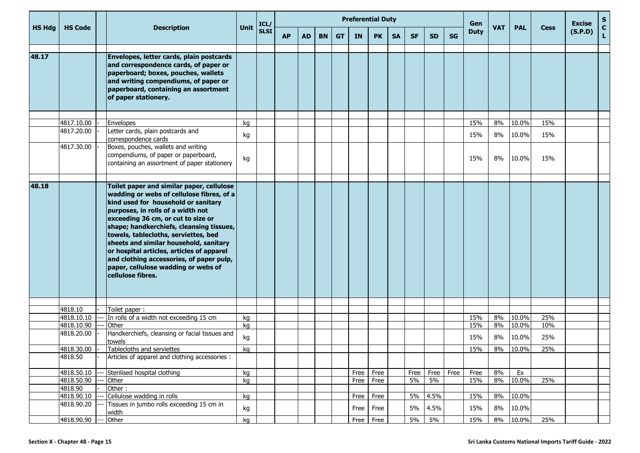| Unit<br><b>VAT</b><br><b>HS Hda</b><br><b>HS Code</b><br><b>Description</b><br><b>PAL</b><br><b>Cess</b><br><b>SLSI</b><br><b>Duty</b><br><b>AP</b><br><b>AD</b><br><b>BN</b><br><b>SA</b><br><b>SF</b><br><b>SD</b><br><b>SG</b><br><b>GT</b><br><b>IN</b><br><b>PK</b><br>48.17<br>Envelopes, letter cards, plain postcards<br>and correspondence cards, of paper or<br>paperboard; boxes, pouches, wallets<br>and writing compendiums, of paper or<br>paperboard, containing an assortment<br>of paper stationery.<br>4817.10.00<br>15%<br>10.0%<br>15%<br>8%<br><b>Envelopes</b><br>kg<br>4817.20.00<br>Letter cards, plain postcards and<br>8%<br>10.0%<br>15%<br>15%<br>kg<br>correspondence cards<br>4817.30.00<br>Boxes, pouches, wallets and writing<br>compendiums, of paper or paperboard,<br>15%<br>8%<br>10.0%<br>15%<br>kg<br>containing an assortment of paper stationery |  |  | ICL/ |  |  | <b>Preferential Duty</b> |  |  | Gen |  |  | <b>Excise</b> | $\frac{\mathsf{s}}{\mathsf{c}}$ |         |    |
|------------------------------------------------------------------------------------------------------------------------------------------------------------------------------------------------------------------------------------------------------------------------------------------------------------------------------------------------------------------------------------------------------------------------------------------------------------------------------------------------------------------------------------------------------------------------------------------------------------------------------------------------------------------------------------------------------------------------------------------------------------------------------------------------------------------------------------------------------------------------------------------|--|--|------|--|--|--------------------------|--|--|-----|--|--|---------------|---------------------------------|---------|----|
|                                                                                                                                                                                                                                                                                                                                                                                                                                                                                                                                                                                                                                                                                                                                                                                                                                                                                          |  |  |      |  |  |                          |  |  |     |  |  |               |                                 | (S.P.D) | L. |
|                                                                                                                                                                                                                                                                                                                                                                                                                                                                                                                                                                                                                                                                                                                                                                                                                                                                                          |  |  |      |  |  |                          |  |  |     |  |  |               |                                 |         |    |
|                                                                                                                                                                                                                                                                                                                                                                                                                                                                                                                                                                                                                                                                                                                                                                                                                                                                                          |  |  |      |  |  |                          |  |  |     |  |  |               |                                 |         |    |
|                                                                                                                                                                                                                                                                                                                                                                                                                                                                                                                                                                                                                                                                                                                                                                                                                                                                                          |  |  |      |  |  |                          |  |  |     |  |  |               |                                 |         |    |
|                                                                                                                                                                                                                                                                                                                                                                                                                                                                                                                                                                                                                                                                                                                                                                                                                                                                                          |  |  |      |  |  |                          |  |  |     |  |  |               |                                 |         |    |
| 48.18<br>Toilet paper and similar paper, cellulose<br>wadding or webs of cellulose fibres, of a<br>kind used for household or sanitary<br>purposes, in rolls of a width not<br>exceeding 36 cm, or cut to size or<br>shape; handkerchiefs, cleansing tissues,<br>towels, tablecloths, serviettes, bed<br>sheets and similar household, sanitary<br>or hospital articles, articles of apparel<br>and clothing accessories, of paper pulp,<br>paper, cellulose wadding or webs of<br>cellulose fibres.                                                                                                                                                                                                                                                                                                                                                                                     |  |  |      |  |  |                          |  |  |     |  |  |               |                                 |         |    |
| 4818.10<br>Toilet paper:                                                                                                                                                                                                                                                                                                                                                                                                                                                                                                                                                                                                                                                                                                                                                                                                                                                                 |  |  |      |  |  |                          |  |  |     |  |  |               |                                 |         |    |
| 10.0%<br>25%<br>4818.10.10<br>In rolls of a width not exceeding 15 cm<br>15%<br>8%<br>kg                                                                                                                                                                                                                                                                                                                                                                                                                                                                                                                                                                                                                                                                                                                                                                                                 |  |  |      |  |  |                          |  |  |     |  |  |               |                                 |         |    |
| 10.0%<br>4818.10.90<br>Other<br>kg<br>15%<br>10%<br>8%                                                                                                                                                                                                                                                                                                                                                                                                                                                                                                                                                                                                                                                                                                                                                                                                                                   |  |  |      |  |  |                          |  |  |     |  |  |               |                                 |         |    |
| 4818.20.00<br>Handkerchiefs, cleansing or facial tissues and<br>10.0%<br>25%<br>kg<br>15%<br>8%<br>towels                                                                                                                                                                                                                                                                                                                                                                                                                                                                                                                                                                                                                                                                                                                                                                                |  |  |      |  |  |                          |  |  |     |  |  |               |                                 |         |    |
| 4818.30.00<br>Tablecloths and serviettes<br>10.0%<br>25%<br>15%<br>8%<br>kg                                                                                                                                                                                                                                                                                                                                                                                                                                                                                                                                                                                                                                                                                                                                                                                                              |  |  |      |  |  |                          |  |  |     |  |  |               |                                 |         |    |
| 4818.50<br>Articles of apparel and clothing accessories :                                                                                                                                                                                                                                                                                                                                                                                                                                                                                                                                                                                                                                                                                                                                                                                                                                |  |  |      |  |  |                          |  |  |     |  |  |               |                                 |         |    |
| 4818.50.10<br>Free<br>Free<br>8%<br>Sterilised hospital clothing<br>kg<br>Free<br>Free<br>Free<br>Free<br>Ex                                                                                                                                                                                                                                                                                                                                                                                                                                                                                                                                                                                                                                                                                                                                                                             |  |  |      |  |  |                          |  |  |     |  |  |               |                                 |         |    |
| 10.0%<br>4818.50.90<br>15%<br>25%<br>5%<br>5%<br>8%<br>Other<br>kg<br>Free<br>Free                                                                                                                                                                                                                                                                                                                                                                                                                                                                                                                                                                                                                                                                                                                                                                                                       |  |  |      |  |  |                          |  |  |     |  |  |               |                                 |         |    |
| 4818.90<br>Other:                                                                                                                                                                                                                                                                                                                                                                                                                                                                                                                                                                                                                                                                                                                                                                                                                                                                        |  |  |      |  |  |                          |  |  |     |  |  |               |                                 |         |    |
| Cellulose wadding in rolls<br>10.0%<br>4818.90.10<br>5%<br>4.5%<br>8%<br>kg<br>Free<br>Free<br>15%<br>4818.90.20<br>Tissues in jumbo rolls exceeding 15 cm in                                                                                                                                                                                                                                                                                                                                                                                                                                                                                                                                                                                                                                                                                                                            |  |  |      |  |  |                          |  |  |     |  |  |               |                                 |         |    |
| Free<br>5%<br>4.5%<br>8%<br>10.0%<br>kg<br>15%<br>Free<br>width<br>4818.90.90<br>5%<br>10.0%<br>Other<br>kg<br>Free<br>5%<br>15%<br>8%<br>25%<br>Free                                                                                                                                                                                                                                                                                                                                                                                                                                                                                                                                                                                                                                                                                                                                    |  |  |      |  |  |                          |  |  |     |  |  |               |                                 |         |    |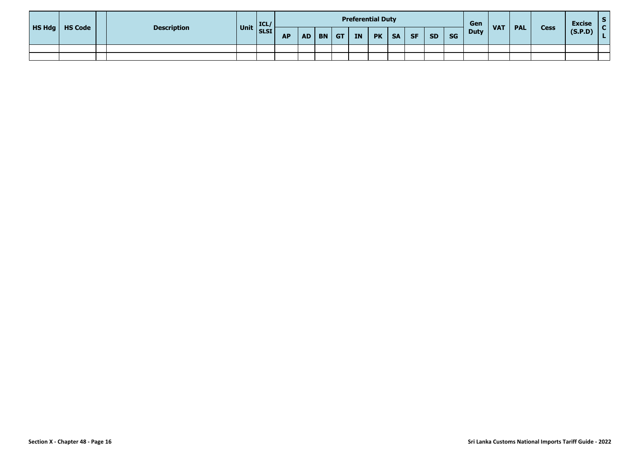| <b>HS Hdg</b>   HS Code | <b>Description</b> | $\vert$ Unit $\vert$ ICL/ |           |  |          | <b>Preferential Duty</b> |           |           |           |           |           | Gen         | <b>VAT</b> | <b>PAL</b> | <b>Cess</b> | <b>Excise</b> |  |
|-------------------------|--------------------|---------------------------|-----------|--|----------|--------------------------|-----------|-----------|-----------|-----------|-----------|-------------|------------|------------|-------------|---------------|--|
|                         |                    |                           | <b>AP</b> |  | AD BN GT | <b>IN</b>                | <b>PK</b> | <b>SA</b> | <b>SF</b> | <b>SD</b> | <b>SG</b> | <b>Duty</b> |            |            |             | (S.P.D)       |  |
|                         |                    |                           |           |  |          |                          |           |           |           |           |           |             |            |            |             |               |  |
|                         |                    |                           |           |  |          |                          |           |           |           |           |           |             |            |            |             |               |  |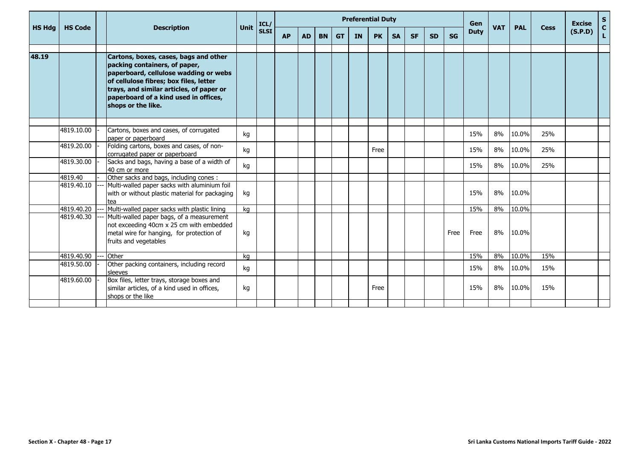|               |                |                                                                                                                                                                                                                                                                      |      | ICL/        |           |           |           |           | <b>Preferential Duty</b> |           |           |           |           |           | Gen         |            |            |             | <b>Excise</b> | $S_{C}$ |
|---------------|----------------|----------------------------------------------------------------------------------------------------------------------------------------------------------------------------------------------------------------------------------------------------------------------|------|-------------|-----------|-----------|-----------|-----------|--------------------------|-----------|-----------|-----------|-----------|-----------|-------------|------------|------------|-------------|---------------|---------|
| <b>HS Hdg</b> | <b>HS Code</b> | <b>Description</b>                                                                                                                                                                                                                                                   | Unit | <b>SLSI</b> | <b>AP</b> | <b>AD</b> | <b>BN</b> | <b>GT</b> | <b>IN</b>                | <b>PK</b> | <b>SA</b> | <b>SF</b> | <b>SD</b> | <b>SG</b> | <b>Duty</b> | <b>VAT</b> | <b>PAL</b> | <b>Cess</b> | (S.P.D)       | L.      |
| 48.19         |                | Cartons, boxes, cases, bags and other<br>packing containers, of paper,<br>paperboard, cellulose wadding or webs<br>of cellulose fibres; box files, letter<br>trays, and similar articles, of paper or<br>paperboard of a kind used in offices,<br>shops or the like. |      |             |           |           |           |           |                          |           |           |           |           |           |             |            |            |             |               |         |
|               | 4819.10.00     | Cartons, boxes and cases, of corrugated                                                                                                                                                                                                                              |      |             |           |           |           |           |                          |           |           |           |           |           |             |            |            |             |               |         |
|               |                | paper or paperboard                                                                                                                                                                                                                                                  | kg   |             |           |           |           |           |                          |           |           |           |           |           | 15%         | 8%         | 10.0%      | 25%         |               |         |
|               | 4819.20.00     | Folding cartons, boxes and cases, of non-<br>corrugated paper or paperboard                                                                                                                                                                                          | kg   |             |           |           |           |           |                          | Free      |           |           |           |           | 15%         | 8%         | 10.0%      | 25%         |               |         |
|               | 4819.30.00     | Sacks and bags, having a base of a width of<br>40 cm or more                                                                                                                                                                                                         | kg   |             |           |           |           |           |                          |           |           |           |           |           | 15%         | 8%         | 10.0%      | 25%         |               |         |
|               | 4819.40        | Other sacks and bags, including cones :                                                                                                                                                                                                                              |      |             |           |           |           |           |                          |           |           |           |           |           |             |            |            |             |               |         |
|               | 4819.40.10     | Multi-walled paper sacks with aluminium foil<br>with or without plastic material for packaging<br>tea                                                                                                                                                                | kg   |             |           |           |           |           |                          |           |           |           |           |           | 15%         | 8%         | 10.0%      |             |               |         |
|               | 4819.40.20     | Multi-walled paper sacks with plastic lining                                                                                                                                                                                                                         | kg   |             |           |           |           |           |                          |           |           |           |           |           | 15%         | 8%         | 10.0%      |             |               |         |
|               | 4819.40.30     | Multi-walled paper bags, of a measurement<br>not exceeding 40cm x 25 cm with embedded<br>metal wire for hanging, for protection of<br>fruits and vegetables                                                                                                          | kg   |             |           |           |           |           |                          |           |           |           |           | Free      | Free        | 8%         | 10.0%      |             |               |         |
|               | 4819.40.90     | -- lOther                                                                                                                                                                                                                                                            | kg   |             |           |           |           |           |                          |           |           |           |           |           | 15%         | 8%         | 10.0%      | 15%         |               |         |
|               | 4819.50.00     | Other packing containers, including record<br>sleeves                                                                                                                                                                                                                | kg   |             |           |           |           |           |                          |           |           |           |           |           | 15%         | 8%         | 10.0%      | 15%         |               |         |
|               | 4819.60.00     | Box files, letter trays, storage boxes and<br>similar articles, of a kind used in offices,<br>shops or the like                                                                                                                                                      | kg   |             |           |           |           |           |                          | Free      |           |           |           |           | 15%         | 8%         | 10.0%      | 15%         |               |         |
|               |                |                                                                                                                                                                                                                                                                      |      |             |           |           |           |           |                          |           |           |           |           |           |             |            |            |             |               |         |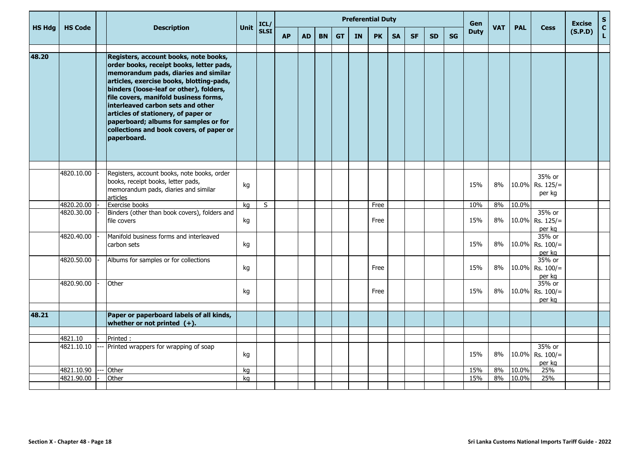|               |                |                                                                                                                                                                                                                                                                                                                                                                                                                                           | Unit |             | <b>Preferential Duty</b><br>Gen<br>ICL/<br><b>VAT</b><br><b>PAL</b><br><b>Cess</b><br><b>Duty</b> |           |           |           |           |           |           |           |           |           |     | <b>Excise</b> | $\mathbf{s}$ |                                           |         |                    |
|---------------|----------------|-------------------------------------------------------------------------------------------------------------------------------------------------------------------------------------------------------------------------------------------------------------------------------------------------------------------------------------------------------------------------------------------------------------------------------------------|------|-------------|---------------------------------------------------------------------------------------------------|-----------|-----------|-----------|-----------|-----------|-----------|-----------|-----------|-----------|-----|---------------|--------------|-------------------------------------------|---------|--------------------|
| <b>HS Hdg</b> | <b>HS Code</b> | <b>Description</b>                                                                                                                                                                                                                                                                                                                                                                                                                        |      | <b>SLSI</b> | <b>AP</b>                                                                                         | <b>AD</b> | <b>BN</b> | <b>GT</b> | <b>IN</b> | <b>PK</b> | <b>SA</b> | <b>SF</b> | <b>SD</b> | <b>SG</b> |     |               |              |                                           | (S.P.D) | $\mathbf{C}$<br>L. |
| 48.20         |                | Registers, account books, note books,<br>order books, receipt books, letter pads,<br>memorandum pads, diaries and similar<br>articles, exercise books, blotting-pads,<br>binders (loose-leaf or other), folders,<br>file covers, manifold business forms,<br>interleaved carbon sets and other<br>articles of stationery, of paper or<br>paperboard; albums for samples or for<br>collections and book covers, of paper or<br>paperboard. |      |             |                                                                                                   |           |           |           |           |           |           |           |           |           |     |               |              |                                           |         |                    |
|               | 4820.10.00     | Registers, account books, note books, order<br>books, receipt books, letter pads,<br>memorandum pads, diaries and similar<br>articles                                                                                                                                                                                                                                                                                                     | kg   |             |                                                                                                   |           |           |           |           |           |           |           |           |           | 15% | 8%            |              | 35% or<br>$10.0\%$ Rs. 125/=<br>per kg    |         |                    |
|               | 4820.20.00     | Exercise books                                                                                                                                                                                                                                                                                                                                                                                                                            | kg   | S           |                                                                                                   |           |           |           |           | Free      |           |           |           |           | 10% | 8%            | 10.0%        |                                           |         |                    |
|               | 4820.30.00     | Binders (other than book covers), folders and<br>file covers                                                                                                                                                                                                                                                                                                                                                                              | kg   |             |                                                                                                   |           |           |           |           | Free      |           |           |           |           | 15% | 8%            |              | 35% or<br>10.0% Rs. 125/=<br>per kg       |         |                    |
|               | 4820.40.00     | Manifold business forms and interleaved<br>carbon sets                                                                                                                                                                                                                                                                                                                                                                                    | kg   |             |                                                                                                   |           |           |           |           |           |           |           |           |           | 15% | 8%            |              | 35% or<br>$10.0\%$ Rs. $100/$ =<br>per kg |         |                    |
|               | 4820.50.00     | Albums for samples or for collections                                                                                                                                                                                                                                                                                                                                                                                                     | kg   |             |                                                                                                   |           |           |           |           | Free      |           |           |           |           | 15% | 8%            |              | 35% or<br>10.0% Rs. $100/$ =<br>per kg    |         |                    |
|               | 4820.90.00     | Other                                                                                                                                                                                                                                                                                                                                                                                                                                     | kg   |             |                                                                                                   |           |           |           |           | Free      |           |           |           |           | 15% | 8%            |              | 35% or<br>10.0% Rs. 100/=<br>per kg       |         |                    |
| 48.21         |                | Paper or paperboard labels of all kinds,<br>whether or not printed $(+)$ .                                                                                                                                                                                                                                                                                                                                                                |      |             |                                                                                                   |           |           |           |           |           |           |           |           |           |     |               |              |                                           |         |                    |
|               | 4821.10        | Printed:                                                                                                                                                                                                                                                                                                                                                                                                                                  |      |             |                                                                                                   |           |           |           |           |           |           |           |           |           |     |               |              |                                           |         |                    |
|               | 4821.10.10     | Printed wrappers for wrapping of soap                                                                                                                                                                                                                                                                                                                                                                                                     | kg   |             |                                                                                                   |           |           |           |           |           |           |           |           |           | 15% | 8%            |              | 35% or<br>10.0% Rs. 100/=<br>per ka       |         |                    |
|               | 4821.10.90     | Other                                                                                                                                                                                                                                                                                                                                                                                                                                     | kg   |             |                                                                                                   |           |           |           |           |           |           |           |           |           | 15% | 8%            | 10.0%        | 25%                                       |         |                    |
|               | 4821.90.00     | Other                                                                                                                                                                                                                                                                                                                                                                                                                                     | kg   |             |                                                                                                   |           |           |           |           |           |           |           |           |           | 15% | 8%            | 10.0%        | 25%                                       |         |                    |
|               |                |                                                                                                                                                                                                                                                                                                                                                                                                                                           |      |             |                                                                                                   |           |           |           |           |           |           |           |           |           |     |               |              |                                           |         |                    |